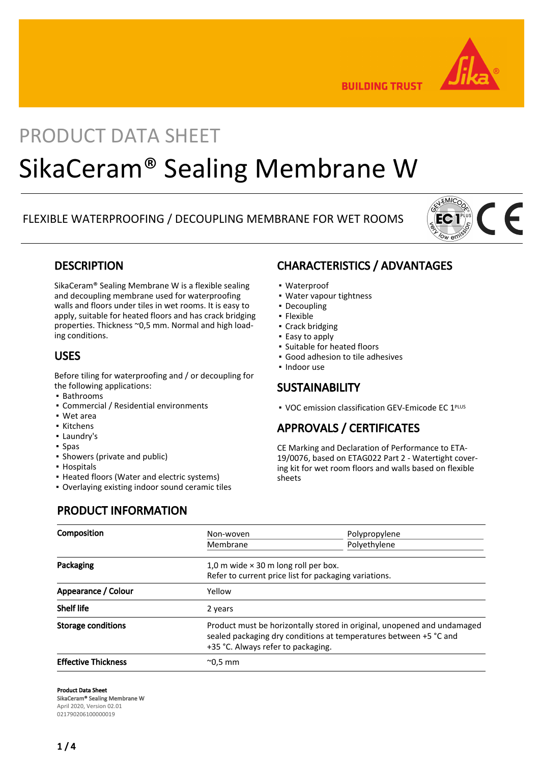

**BUILDING TRUST** 

# PRODUCT DATA SHEET SikaCeram® Sealing Membrane W

### FLEXIBLE WATERPROOFING / DECOUPLING MEMBRANE FOR WET ROOMS



### **DESCRIPTION**

SikaCeram® Sealing Membrane W is a flexible sealing and decoupling membrane used for waterproofing walls and floors under tiles in wet rooms. It is easy to apply, suitable for heated floors and has crack bridging properties. Thickness ~0,5 mm. Normal and high loading conditions.

### USES

Before tiling for waterproofing and / or decoupling for the following applications:

- Bathrooms
- Commercial / Residential environments
- Wet area
- Kitchens
- Laundry's
- Spas
- Showers (private and public)
- Hospitals
- Heated floors (Water and electric systems)
- Overlaying existing indoor sound ceramic tiles

### CHARACTERISTICS / ADVANTAGES

- Waterproof
- Water vapour tightness
- Decoupling
- Flexible
- Crack bridging
- Easy to apply
- Suitable for heated floors
- Good adhesion to tile adhesives
- Indoor use

### **SUSTAINABILITY**

■ VOC emission classification GEV-Emicode EC 1<sup>PLUS</sup>

## APPROVALS / CERTIFICATES

CE Marking and Declaration of Performance to ETA-19/0076, based on ETAG022 Part 2 - Watertight covering kit for wet room floors and walls based on flexible sheets

## PRODUCT INFORMATION

| <b>Composition</b>         | Non-woven                                                                                                                                                                          | Polypropylene |
|----------------------------|------------------------------------------------------------------------------------------------------------------------------------------------------------------------------------|---------------|
|                            | Membrane                                                                                                                                                                           | Polyethylene  |
| Packaging                  | 1,0 m wide $\times$ 30 m long roll per box.<br>Refer to current price list for packaging variations.                                                                               |               |
| Appearance / Colour        | Yellow                                                                                                                                                                             |               |
| <b>Shelf life</b>          | 2 years                                                                                                                                                                            |               |
| <b>Storage conditions</b>  | Product must be horizontally stored in original, unopened and undamaged<br>sealed packaging dry conditions at temperatures between +5 °C and<br>+35 °C. Always refer to packaging. |               |
| <b>Effective Thickness</b> | $^{\sim}$ 0.5 mm                                                                                                                                                                   |               |

#### Product Data Sheet

SikaCeram® Sealing Membrane W

April 2020, Version 02.01 021790206100000019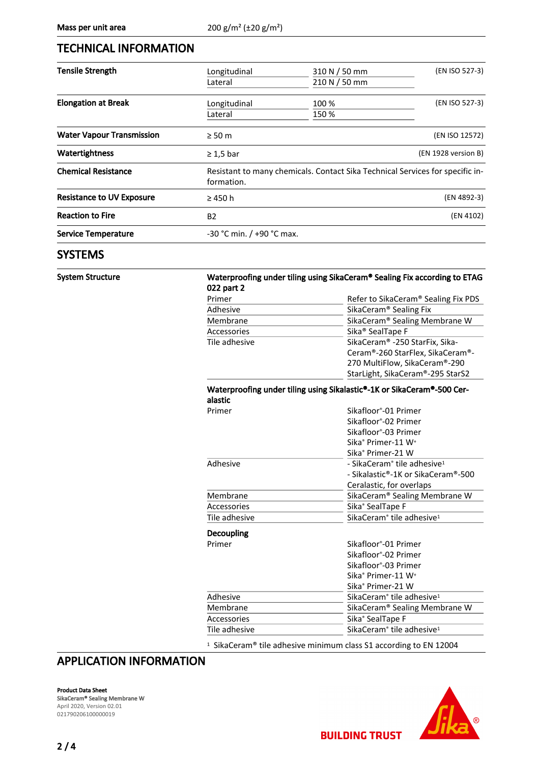### TECHNICAL INFORMATION

| <b>Tensile Strength</b>          | Longitudinal   | 310 N / 50 mm                                                                 | (EN ISO 527-3)      |  |
|----------------------------------|----------------|-------------------------------------------------------------------------------|---------------------|--|
|                                  | Lateral        | 210 N / 50 mm                                                                 |                     |  |
| <b>Elongation at Break</b>       | Longitudinal   | 100 %                                                                         | (EN ISO 527-3)      |  |
|                                  | Lateral        | 150 %                                                                         |                     |  |
| <b>Water Vapour Transmission</b> | $\geq 50$ m    |                                                                               | (EN ISO 12572)      |  |
| Watertightness                   | $\geq 1.5$ bar |                                                                               | (EN 1928 version B) |  |
| <b>Chemical Resistance</b>       | formation.     | Resistant to many chemicals. Contact Sika Technical Services for specific in- |                     |  |
| <b>Resistance to UV Exposure</b> | $\geq$ 450 h   | (EN 4892-3)                                                                   |                     |  |
| <b>Reaction to Fire</b>          | <b>B2</b>      | (EN 4102)                                                                     |                     |  |
| <b>Service Temperature</b>       |                | $-30$ °C min. / $+90$ °C max.                                                 |                     |  |
|                                  |                |                                                                               |                     |  |

### **SYSTEMS**

#### System Structure Waterproofing under tiling using SikaCeram® Sealing Fix according to ETAG 022 part 2

| Primer        | Refer to SikaCeram® Sealing Fix PDS        |  |
|---------------|--------------------------------------------|--|
| Adhesive      | SikaCeram <sup>®</sup> Sealing Fix         |  |
| Membrane      | SikaCeram® Sealing Membrane W              |  |
| Accessories   | Sika <sup>®</sup> SealTape F               |  |
| Tile adhesive | SikaCeram <sup>®</sup> -250 StarFix, Sika- |  |
|               | Ceram®-260 StarFlex, SikaCeram®-           |  |
|               | 270 MultiFlow, SikaCeram®-290              |  |
|               | StarLight, SikaCeram®-295 StarS2           |  |

#### Waterproofing under tiling using Sikalastic®-1K or SikaCeram®-500 Ceralastic

| aiastit       |                                                     |  |
|---------------|-----------------------------------------------------|--|
| Primer        | Sikafloor <sup>®</sup> -01 Primer                   |  |
|               | Sikafloor <sup>®</sup> -02 Primer                   |  |
|               | Sikafloor <sup>®</sup> -03 Primer                   |  |
|               | Sika <sup>®</sup> Primer-11 W <sup>+</sup>          |  |
|               | Sika <sup>®</sup> Primer-21 W                       |  |
| Adhesive      | - SikaCeram <sup>®</sup> tile adhesive <sup>1</sup> |  |
|               | - Sikalastic®-1K or SikaCeram®-500                  |  |
|               | Ceralastic, for overlaps                            |  |
| Membrane      | SikaCeram® Sealing Membrane W                       |  |
| Accessories   | Sika <sup>®</sup> SealTape F                        |  |
| Tile adhesive | SikaCeram <sup>®</sup> tile adhesive <sup>1</sup>   |  |
| Decoupling    |                                                     |  |
| Primer        | Sikafloor®-01 Primer                                |  |
|               | Sikafloor <sup>®</sup> -02 Primer                   |  |
|               | Sikafloor <sup>®</sup> -03 Primer                   |  |
|               | Sika® Primer-11 W <sup>+</sup>                      |  |
|               | Sika <sup>®</sup> Primer-21 W                       |  |
| Adhesive      | SikaCeram <sup>®</sup> tile adhesive <sup>1</sup>   |  |
| Membrane      | SikaCeram® Sealing Membrane W                       |  |
| Accessories   | Sika <sup>®</sup> SealTape F                        |  |
| Tile adhesive | SikaCeram <sup>®</sup> tile adhesive <sup>1</sup>   |  |

<sup>1</sup> SikaCeram® tile adhesive minimum class S1 according to EN 12004

**BUILDING TRUST** 

### APPLICATION INFORMATION

Product Data Sheet

SikaCeram® Sealing Membrane W April 2020, Version 02.01 021790206100000019

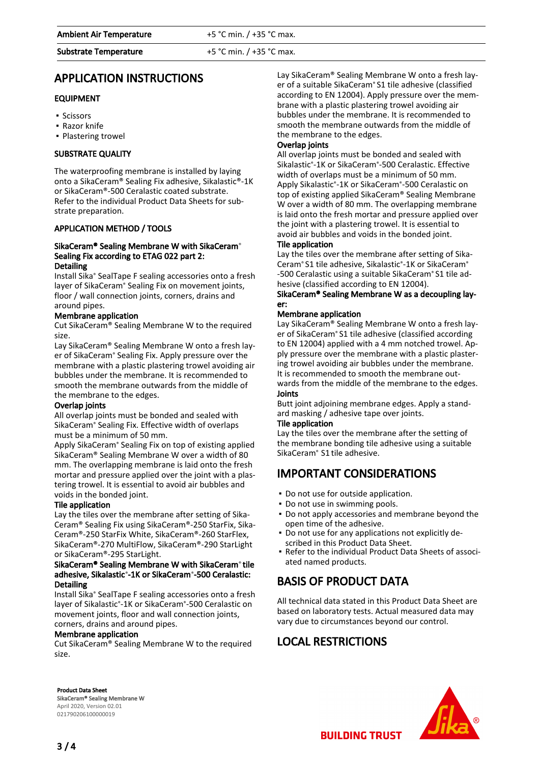#### Substrate Temperature  $+5 °C$  min.  $/ +35 °C$  max.

## APPLICATION INSTRUCTIONS

### EQUIPMENT

- Scissors
- Razor knife
- Plastering trowel

### SUBSTRATE QUALITY

The waterproofing membrane is installed by laying onto a SikaCeram® Sealing Fix adhesive, Sikalastic®-1K or SikaCeram®-500 Ceralastic coated substrate. Refer to the individual Product Data Sheets for substrate preparation.

#### APPLICATION METHOD / TOOLS

#### SikaCeram® Sealing Membrane W with SikaCeram® Sealing Fix according to ETAG 022 part 2: **Detailing**

Install Sika® SealTape F sealing accessories onto a fresh layer of SikaCeram® Sealing Fix on movement joints, floor / wall connection joints, corners, drains and around pipes.

#### Membrane application

Cut SikaCeram® Sealing Membrane W to the required size.

Lay SikaCeram® Sealing Membrane W onto a fresh layer of SikaCeram® Sealing Fix. Apply pressure over the membrane with a plastic plastering trowel avoiding air bubbles under the membrane. It is recommended to smooth the membrane outwards from the middle of the membrane to the edges.

#### Overlap joints

All overlap joints must be bonded and sealed with SikaCeram® Sealing Fix. Effective width of overlaps must be a minimum of 50 mm.

Apply SikaCeram® Sealing Fix on top of existing applied SikaCeram® Sealing Membrane W over a width of 80 mm. The overlapping membrane is laid onto the fresh mortar and pressure applied over the joint with a plastering trowel. It is essential to avoid air bubbles and voids in the bonded joint.

#### Tile application

Lay the tiles over the membrane after setting of Sika-Ceram® Sealing Fix using SikaCeram®-250 StarFix, Sika-Ceram®-250 StarFix White, SikaCeram®-260 StarFlex, SikaCeram®-270 MultiFlow, SikaCeram®-290 StarLight or SikaCeram®-295 StarLight.

#### SikaCeram® Sealing Membrane W with SikaCeram® tile adhesive, Sikalastic®-1K or SikaCeram®-500 Ceralastic: Detailing

Install Sika® SealTape F sealing accessories onto a fresh layer of Sikalastic®-1K or SikaCeram®-500 Ceralastic on movement joints, floor and wall connection joints, corners, drains and around pipes.

#### Membrane application

Cut SikaCeram® Sealing Membrane W to the required size.

Lay SikaCeram® Sealing Membrane W onto a fresh layer of a suitable SikaCeram® S1 tile adhesive (classified according to EN 12004). Apply pressure over the membrane with a plastic plastering trowel avoiding air bubbles under the membrane. It is recommended to smooth the membrane outwards from the middle of the membrane to the edges.

### Overlap joints

All overlap joints must be bonded and sealed with Sikalastic®-1K or SikaCeram®-500 Ceralastic. Effective width of overlaps must be a minimum of 50 mm. Apply Sikalastic®-1K or SikaCeram®-500 Ceralastic on top of existing applied SikaCeram® Sealing Membrane W over a width of 80 mm. The overlapping membrane is laid onto the fresh mortar and pressure applied over the joint with a plastering trowel. It is essential to avoid air bubbles and voids in the bonded joint.

Tile application

Lay the tiles over the membrane after setting of Sika-Ceram® S1 tile adhesive, Sikalastic®-1K or SikaCeram® -500 Ceralastic using a suitable SikaCeram® S1 tile adhesive (classified according to EN 12004).

#### SikaCeram® Sealing Membrane W as a decoupling layer:

#### Membrane application

Lay SikaCeram® Sealing Membrane W onto a fresh layer of SikaCeram® S1 tile adhesive (classified according to EN 12004) applied with a 4 mm notched trowel. Apply pressure over the membrane with a plastic plastering trowel avoiding air bubbles under the membrane. It is recommended to smooth the membrane outwards from the middle of the membrane to the edges. Joints

Butt joint adjoining membrane edges. Apply a standard masking / adhesive tape over joints.

#### Tile application

Lay the tiles over the membrane after the setting of the membrane bonding tile adhesive using a suitable SikaCeram® S1 tile adhesive.

## IMPORTANT CONSIDERATIONS

- Do not use for outside application.
- Do not use in swimming pools.
- Do not apply accessories and membrane beyond the open time of the adhesive.
- Do not use for any applications not explicitly de-▪ scribed in this Product Data Sheet.
- Refer to the individual Product Data Sheets of associ-▪ ated named products.

## BASIS OF PRODUCT DATA

All technical data stated in this Product Data Sheet are based on laboratory tests. Actual measured data may vary due to circumstances beyond our control.

**BUILDING TRUST** 

### LOCAL RESTRICTIONS





SikaCeram® Sealing Membrane W